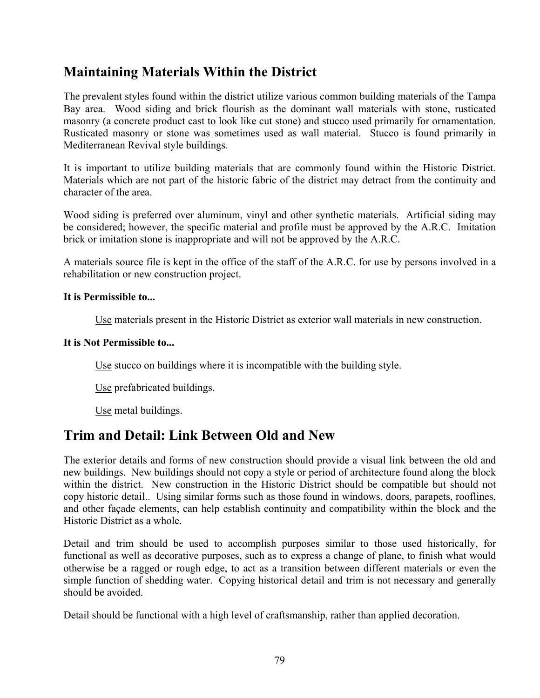# **Maintaining Materials Within the District**

The prevalent styles found within the district utilize various common building materials of the Tampa Bay area. Wood siding and brick flourish as the dominant wall materials with stone, rusticated masonry (a concrete product cast to look like cut stone) and stucco used primarily for ornamentation. Rusticated masonry or stone was sometimes used as wall material. Stucco is found primarily in Mediterranean Revival style buildings.

It is important to utilize building materials that are commonly found within the Historic District. Materials which are not part of the historic fabric of the district may detract from the continuity and character of the area.

Wood siding is preferred over aluminum, vinyl and other synthetic materials. Artificial siding may be considered; however, the specific material and profile must be approved by the A.R.C. Imitation brick or imitation stone is inappropriate and will not be approved by the A.R.C.

A materials source file is kept in the office of the staff of the A.R.C. for use by persons involved in a rehabilitation or new construction project.

### **It is Permissible to...**

Use materials present in the Historic District as exterior wall materials in new construction.

### **It is Not Permissible to...**

Use stucco on buildings where it is incompatible with the building style.

Use prefabricated buildings.

Use metal buildings.

# **Trim and Detail: Link Between Old and New**

The exterior details and forms of new construction should provide a visual link between the old and new buildings. New buildings should not copy a style or period of architecture found along the block within the district. New construction in the Historic District should be compatible but should not copy historic detail.. Using similar forms such as those found in windows, doors, parapets, rooflines, and other façade elements, can help establish continuity and compatibility within the block and the Historic District as a whole.

Detail and trim should be used to accomplish purposes similar to those used historically, for functional as well as decorative purposes, such as to express a change of plane, to finish what would otherwise be a ragged or rough edge, to act as a transition between different materials or even the simple function of shedding water. Copying historical detail and trim is not necessary and generally should be avoided.

Detail should be functional with a high level of craftsmanship, rather than applied decoration.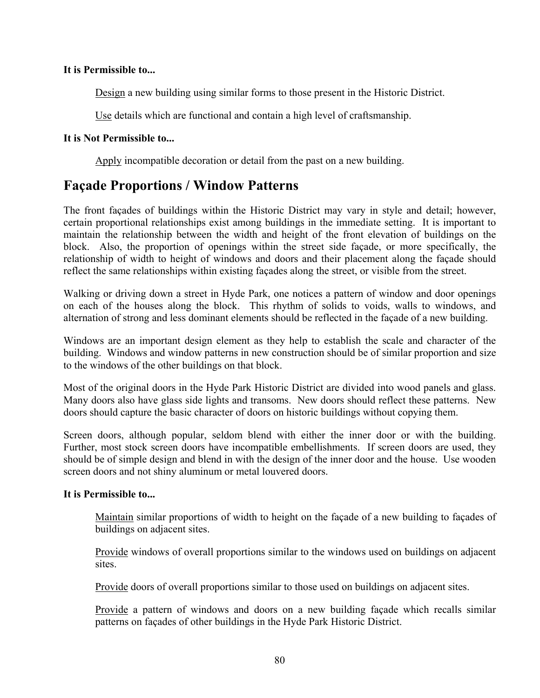### **It is Permissible to...**

Design a new building using similar forms to those present in the Historic District.

Use details which are functional and contain a high level of craftsmanship.

### **It is Not Permissible to...**

Apply incompatible decoration or detail from the past on a new building.

# **Façade Proportions / Window Patterns**

The front façades of buildings within the Historic District may vary in style and detail; however, certain proportional relationships exist among buildings in the immediate setting. It is important to maintain the relationship between the width and height of the front elevation of buildings on the block. Also, the proportion of openings within the street side façade, or more specifically, the relationship of width to height of windows and doors and their placement along the façade should reflect the same relationships within existing façades along the street, or visible from the street.

Walking or driving down a street in Hyde Park, one notices a pattern of window and door openings on each of the houses along the block. This rhythm of solids to voids, walls to windows, and alternation of strong and less dominant elements should be reflected in the façade of a new building.

Windows are an important design element as they help to establish the scale and character of the building. Windows and window patterns in new construction should be of similar proportion and size to the windows of the other buildings on that block.

Most of the original doors in the Hyde Park Historic District are divided into wood panels and glass. Many doors also have glass side lights and transoms. New doors should reflect these patterns. New doors should capture the basic character of doors on historic buildings without copying them.

Screen doors, although popular, seldom blend with either the inner door or with the building. Further, most stock screen doors have incompatible embellishments. If screen doors are used, they should be of simple design and blend in with the design of the inner door and the house. Use wooden screen doors and not shiny aluminum or metal louvered doors.

### **It is Permissible to...**

Maintain similar proportions of width to height on the façade of a new building to façades of buildings on adjacent sites.

Provide windows of overall proportions similar to the windows used on buildings on adjacent sites.

Provide doors of overall proportions similar to those used on buildings on adjacent sites.

Provide a pattern of windows and doors on a new building façade which recalls similar patterns on façades of other buildings in the Hyde Park Historic District.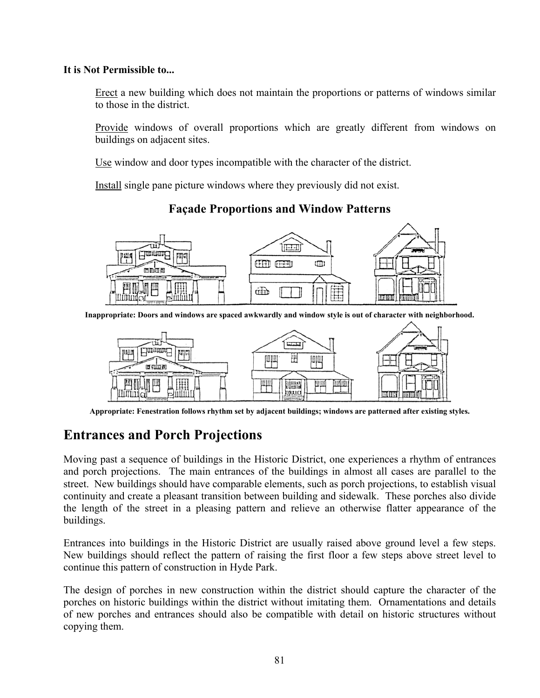### **It is Not Permissible to...**

Erect a new building which does not maintain the proportions or patterns of windows similar to those in the district.

Provide windows of overall proportions which are greatly different from windows on buildings on adjacent sites.

Use window and door types incompatible with the character of the district.

Install single pane picture windows where they previously did not exist.

#### тú ⊟1 Elemente 陣 pra **CERTI GREAT** ŒÙ a mia al ٣ ர் I. Bullinu lliitiided

**Façade Proportions and Window Patterns** 

**Inappropriate: Doors and windows are spaced awkwardly and window style is out of character with neighborhood.** 



**Appropriate: Fenestration follows rhythm set by adjacent buildings; windows are patterned after existing styles.** 

# **Entrances and Porch Projections**

Moving past a sequence of buildings in the Historic District, one experiences a rhythm of entrances and porch projections. The main entrances of the buildings in almost all cases are parallel to the street. New buildings should have comparable elements, such as porch projections, to establish visual continuity and create a pleasant transition between building and sidewalk. These porches also divide the length of the street in a pleasing pattern and relieve an otherwise flatter appearance of the buildings.

Entrances into buildings in the Historic District are usually raised above ground level a few steps. New buildings should reflect the pattern of raising the first floor a few steps above street level to continue this pattern of construction in Hyde Park.

The design of porches in new construction within the district should capture the character of the porches on historic buildings within the district without imitating them. Ornamentations and details of new porches and entrances should also be compatible with detail on historic structures without copying them.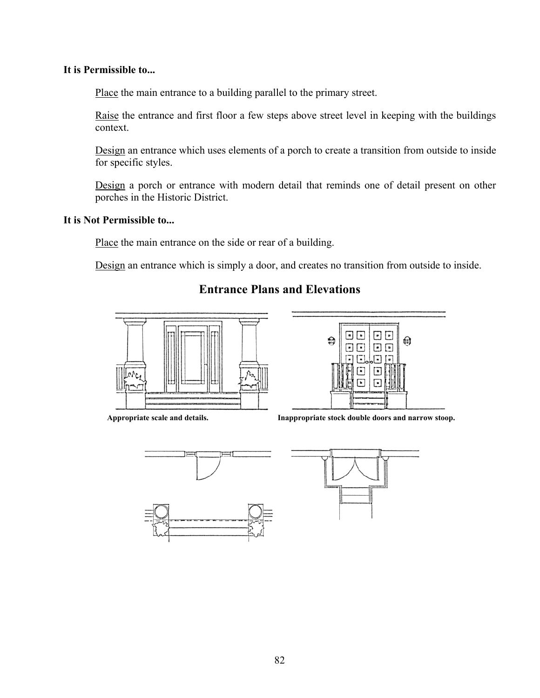### **It is Permissible to...**

Place the main entrance to a building parallel to the primary street.

Raise the entrance and first floor a few steps above street level in keeping with the buildings context.

Design an entrance which uses elements of a porch to create a transition from outside to inside for specific styles.

Design a porch or entrance with modern detail that reminds one of detail present on other porches in the Historic District.

# **It is Not Permissible to...**

Place the main entrance on the side or rear of a building.

Design an entrance which is simply a door, and creates no transition from outside to inside.

# **Entrance Plans and Elevations**





**Appropriate scale and details. Inappropriate stock double doors and narrow stoop.** 



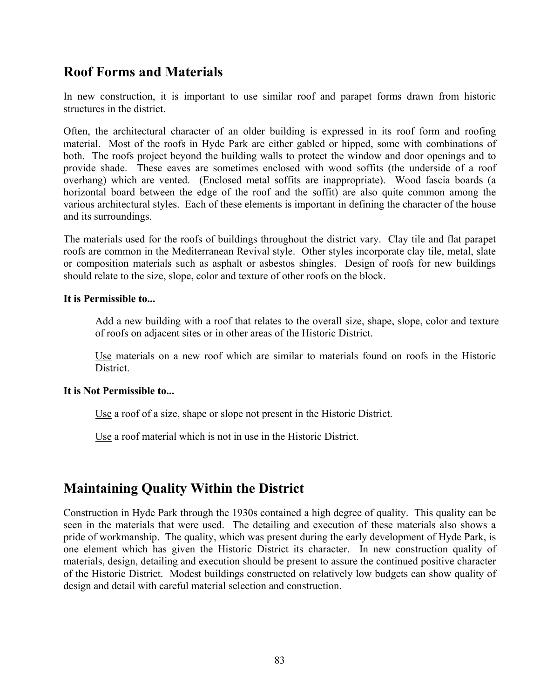# **Roof Forms and Materials**

In new construction, it is important to use similar roof and parapet forms drawn from historic structures in the district.

Often, the architectural character of an older building is expressed in its roof form and roofing material. Most of the roofs in Hyde Park are either gabled or hipped, some with combinations of both. The roofs project beyond the building walls to protect the window and door openings and to provide shade. These eaves are sometimes enclosed with wood soffits (the underside of a roof overhang) which are vented. (Enclosed metal soffits are inappropriate). Wood fascia boards (a horizontal board between the edge of the roof and the soffit) are also quite common among the various architectural styles. Each of these elements is important in defining the character of the house and its surroundings.

The materials used for the roofs of buildings throughout the district vary. Clay tile and flat parapet roofs are common in the Mediterranean Revival style. Other styles incorporate clay tile, metal, slate or composition materials such as asphalt or asbestos shingles. Design of roofs for new buildings should relate to the size, slope, color and texture of other roofs on the block.

### **It is Permissible to...**

Add a new building with a roof that relates to the overall size, shape, slope, color and texture of roofs on adjacent sites or in other areas of the Historic District.

Use materials on a new roof which are similar to materials found on roofs in the Historic **District** 

# **It is Not Permissible to...**

Use a roof of a size, shape or slope not present in the Historic District.

Use a roof material which is not in use in the Historic District.

# **Maintaining Quality Within the District**

Construction in Hyde Park through the 1930s contained a high degree of quality. This quality can be seen in the materials that were used. The detailing and execution of these materials also shows a pride of workmanship. The quality, which was present during the early development of Hyde Park, is one element which has given the Historic District its character. In new construction quality of materials, design, detailing and execution should be present to assure the continued positive character of the Historic District. Modest buildings constructed on relatively low budgets can show quality of design and detail with careful material selection and construction.